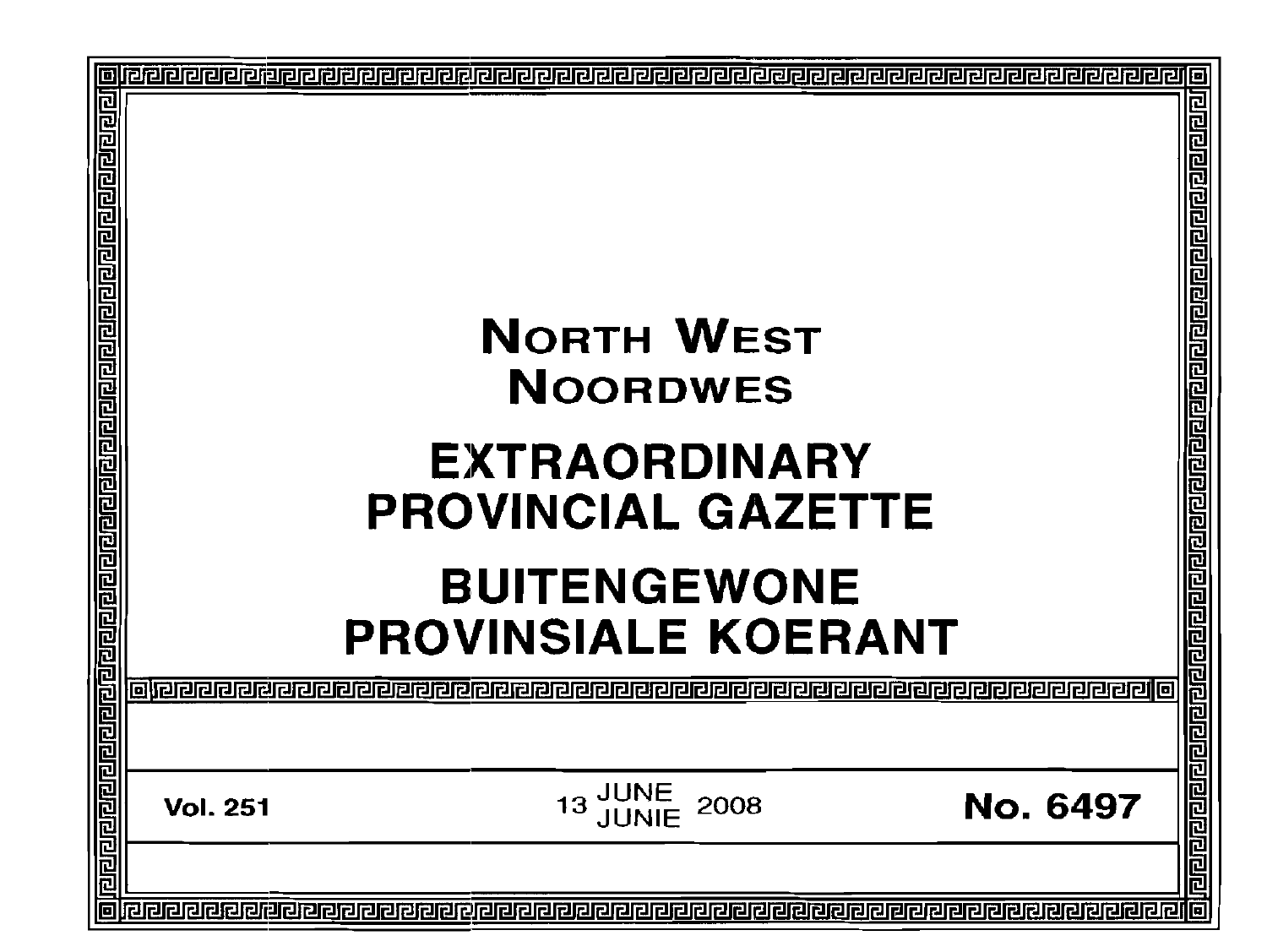|                                                          |                           |                                                                                           | 10                                                                        |
|----------------------------------------------------------|---------------------------|-------------------------------------------------------------------------------------------|---------------------------------------------------------------------------|
| <u>गायवागवागणका जानागणका वागणकाणकाणका मण्डलका जानागण</u> |                           | <b>NORTH WEST</b><br><b>NOORDWES</b><br><b>EXTRAORDINARY</b><br><b>PROVINCIAL GAZETTE</b> | 립리<br><u>alera di elementa di elementa di elementa di elementa di ele</u> |
|                                                          |                           | <b>BUITENGEWONE</b>                                                                       |                                                                           |
|                                                          |                           | <b>PROVINSIALE KOERANT</b>                                                                |                                                                           |
|                                                          |                           |                                                                                           |                                                                           |
|                                                          | oleeeee<br>JI 리 리 리 리 리 리 |                                                                                           | 圖                                                                         |
|                                                          |                           |                                                                                           | 已                                                                         |
|                                                          | <b>Vol. 251</b>           | 13 JUNE<br>13 JUNIE<br>2008                                                               | <b>No. 6497</b>                                                           |
| <u>विरावयनगर</u>                                         |                           |                                                                                           | 同回回                                                                       |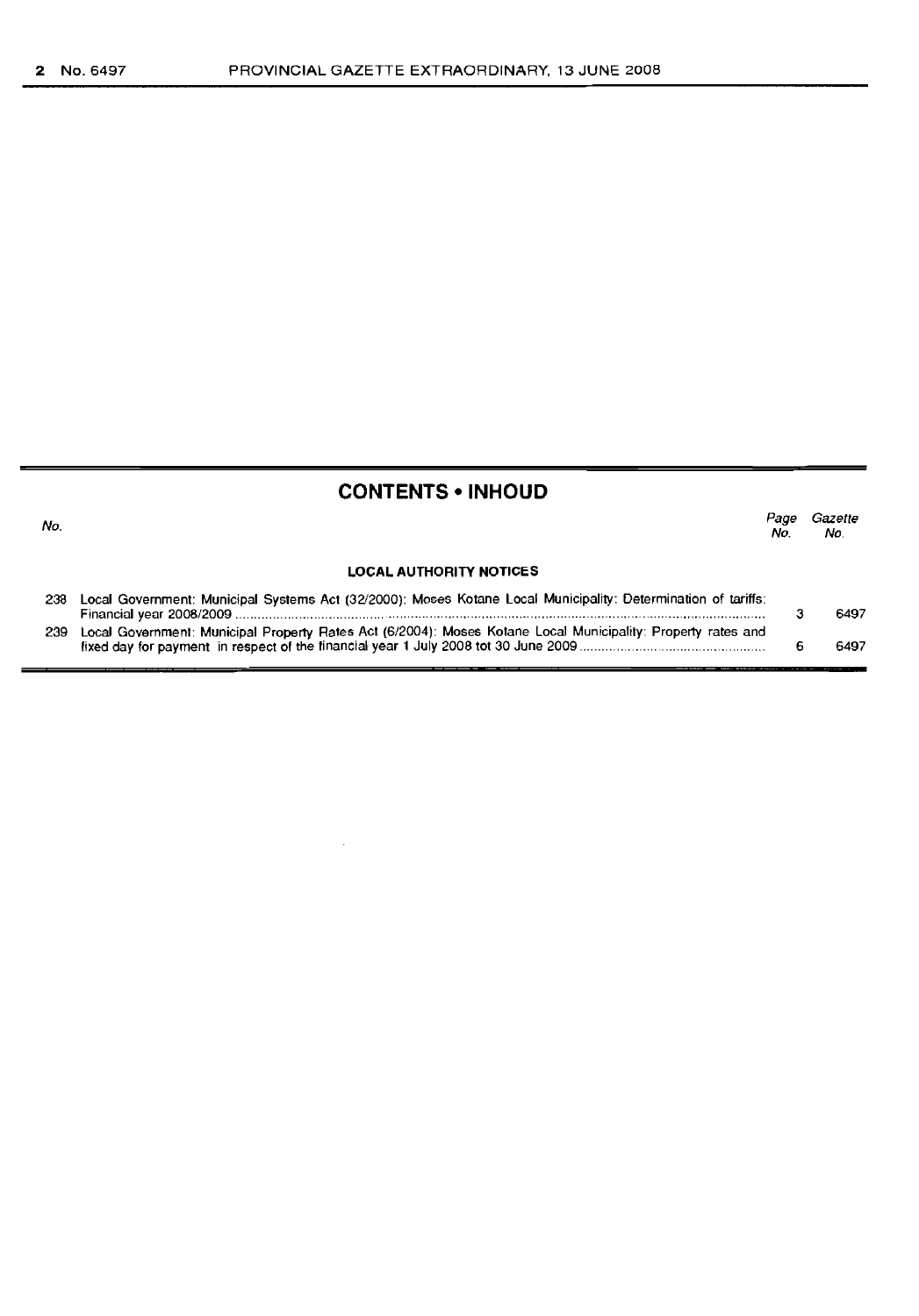No.

## **CONTENTS • INHOUD**

| ٧o. |                                                                                                                   | Page<br>No. | Gazette<br>No. |  |
|-----|-------------------------------------------------------------------------------------------------------------------|-------------|----------------|--|
|     | <b>LOCAL AUTHORITY NOTICES</b>                                                                                    |             |                |  |
|     | 238 Local Government: Municipal Systems Act (32/2000): Moses Kotane Local Municipality: Determination of tariffs: |             | 6497           |  |

| 239 Local Government: Municipal Property Rates Act (6/2004): Moses Kotane Local Municipality: Property rates and |      |
|------------------------------------------------------------------------------------------------------------------|------|
|                                                                                                                  | 6497 |

 $\bar{z}$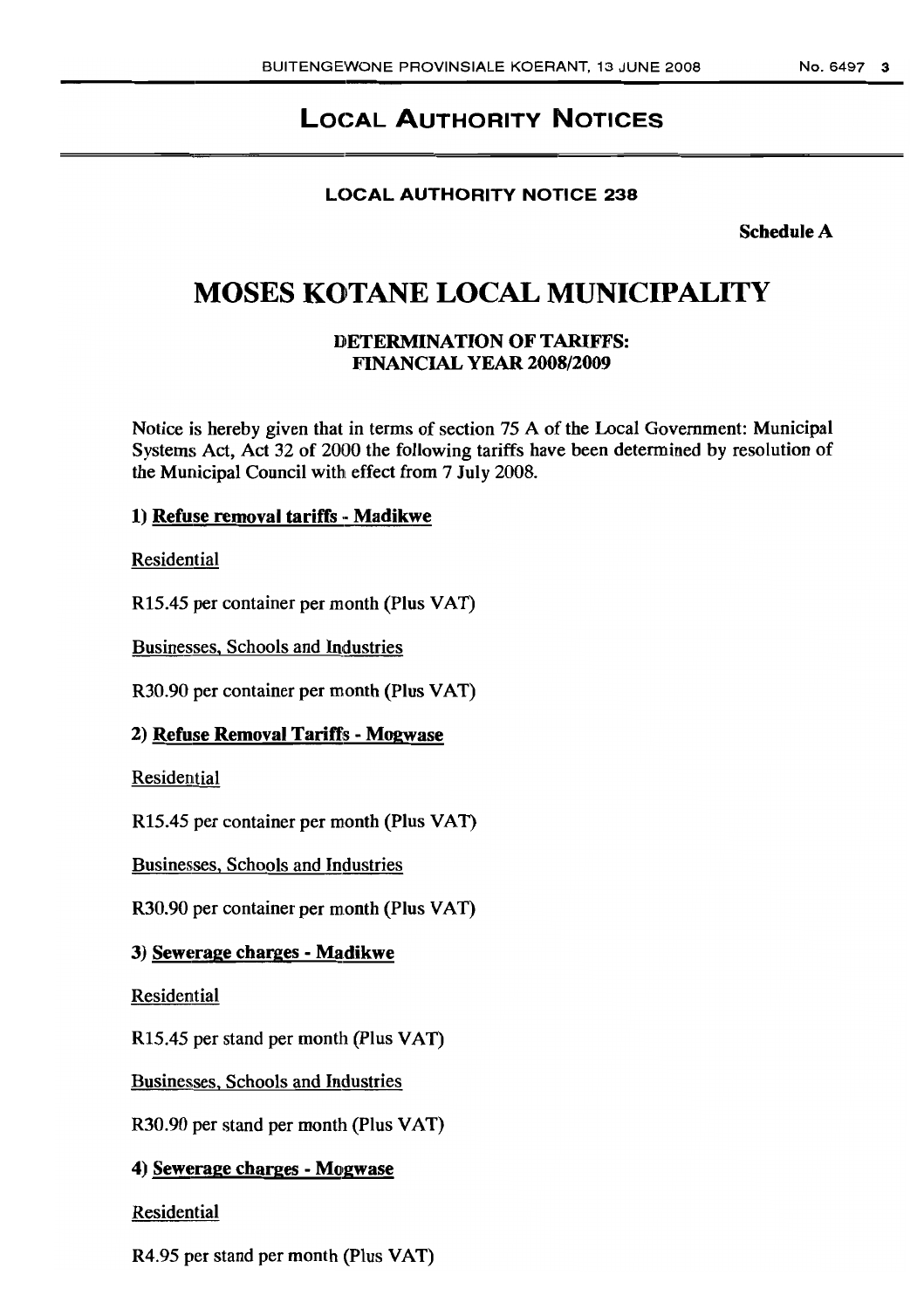# LOCAL AUTHORITY NOTICES

## LOCAL AUTHORITY NOTICE 238

Schedule A

# **MOSES KOTANE LOCAL MUNICIPALITY**

## DETERMINATION OF TARIFFS: FINANCIAL YEAR 2008/2009

Notice is hereby given that in terms of section 75 A of the Local Government: Municipal Systems Act, Act 32 of 2000 the following tariffs have been determined by resolution of the Municipal Council with effect from 7 July 2008.

## 1) Refuse removal tariffs - Madikwe

Residential

R15.45 per container per month (Plus VAT)

Businesses, Schools and Industries

R30.90 per container per month (Plus VAT)

## 2) Refuse Removal Tarifts - Mogwase

Residential

R15.45 per container per month (Plus VAT)

Businesses, Schools and Industries

R30.90 per container per month (Plus VAT)

## 3) Sewerage charges - Madikwe

Residential

R15.45 per stand per month (Plus VAT)

Businesses, Schools and Industries

R30.90 per stand per month (Plus VAT)

## 4) Sewerage charges - Mogwase

## Residential

R4.95 per stand per month (Plus VAT)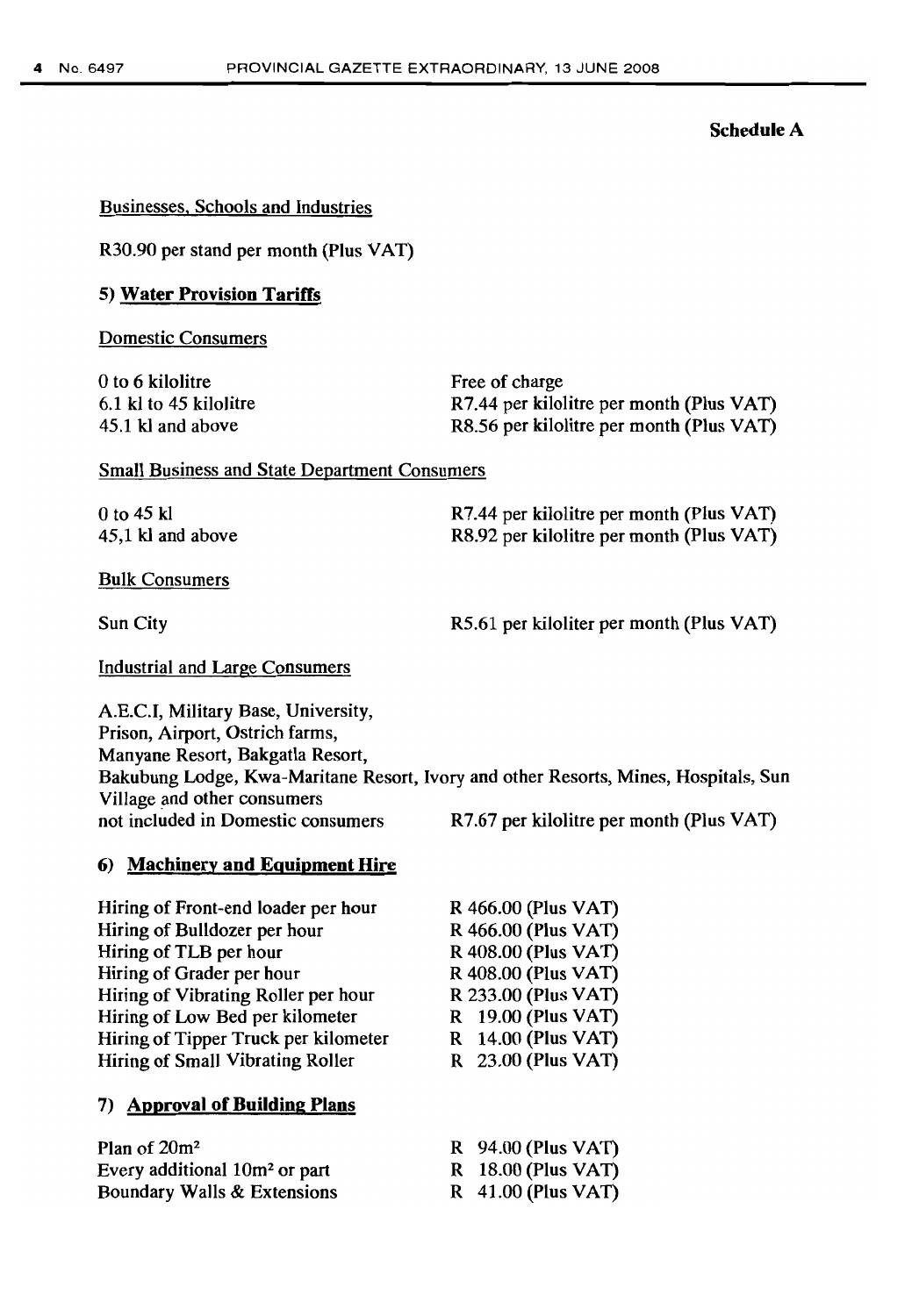#### Schedule A

#### Businesses, Schools and Industries

R30.90 per stand per month (Plus VAT)

#### 5) Water Provision Tariffs

Domestic Consumers

| 0 to 6 kilolitre       | Free of charge                           |
|------------------------|------------------------------------------|
| 6.1 kl to 45 kilolitre | R7.44 per kilolitre per month (Plus VAT) |
| 45.1 kl and above      | R8.56 per kilolitre per month (Plus VAT) |

Small Business and State Department Consumers

 $0$  to 45 kl 45,1 kl and above R7.44 per kilolitre per month (Plus VAT) R8.92 per kilolitre per month (Plus VAT)

Bulk Consumers

Sun City

R5.61 per kiloliter per month (Plus VAT)

Industrial and Large Consumers

AE.C.I, Military Base, University, Prison, Airport, Ostrich farms, Manyane Resort, Bakgatla Resort, Bakubung Lodge, Kwa-Maritane Resort, Ivory and other Resorts, Mines, Hospitals, Sun Village and other consumers not included in Domestic consumers R7.67 per kilolitre per month (Plus VAT)

> R 466.00 (Plus VAT) R 466.00 (Plus VAT) R 408.00 (Plus VAT) R 408.00 (Plus VAT) R 233.00 (Plus VAT) R 19.00 (Plus VAT) R 14.00 (Plus VAT) R 23.00 (Plus VAT)

#### 6) Machinery and Equipment Hire

Hiring of Front-end loader per hour Hiring of Bulldozer per hour Hiring of TLB per hour Hiring of Grader per hour Hiring of Vibrating Roller per hour Hiring of Low Bed per kilometer Hiring of Tipper Truck per kilometer Hiring of Small Vibrating Roller

#### 7) Approval of Building Plans

| Plan of $20m^2$                           | R 94.00 (Plus VAT)   |
|-------------------------------------------|----------------------|
| Every additional 10m <sup>2</sup> or part | R 18.00 (Plus VAT)   |
| Boundary Walls & Extensions               | $R$ 41.00 (Plus VAT) |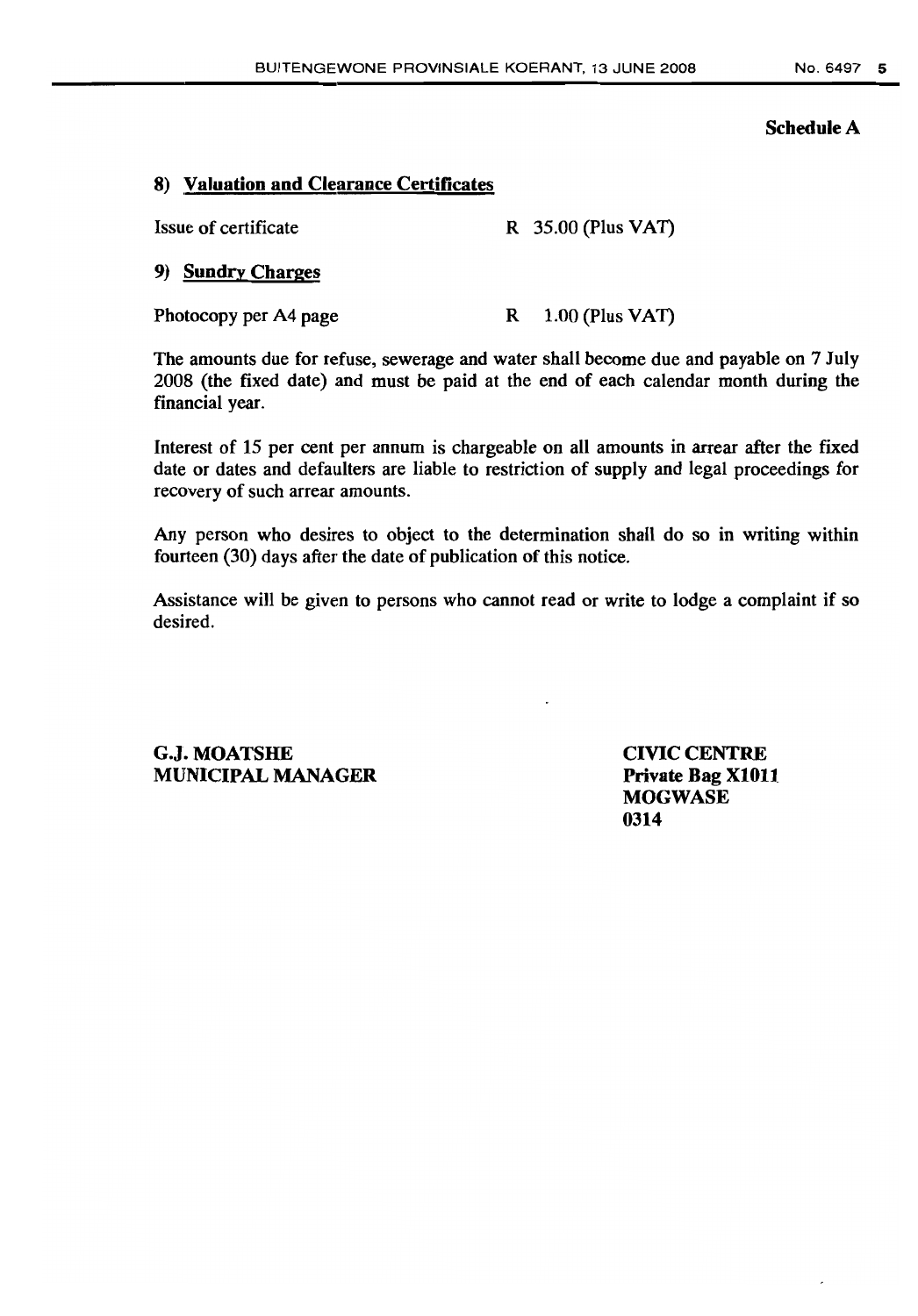#### Schedule A

## 8) Valuation and Clearance Certificates

Issue of certificate R 35.00 (Plus VAT)

## 9) Sundry Charges

Photocopy per A4 page R 1.00 (Plus VAT)

The amounts due for refuse, sewerage and water shall become due and payable on 7 July 2008 (the fixed date) and must be paid at the end of each calendar month during the financial year.

Interest of 15 per cent per annum is chargeable on all amounts in arrear after the fixed date or dates and defaulters are liable to restriction of supply and legal proceedings for recovery of such arrear amounts.

Any person who desires to object to the determination shall do so in writing within fourteen (30) days after the date of publication of this notice.

Assistance will be given to persons who cannot read or write to lodge a complaint if so desired.

G.J. MOATSHE MUNICIPAL MANAGER CIVIC CENTRE Private Bag XI011 **MOGWASE** 0314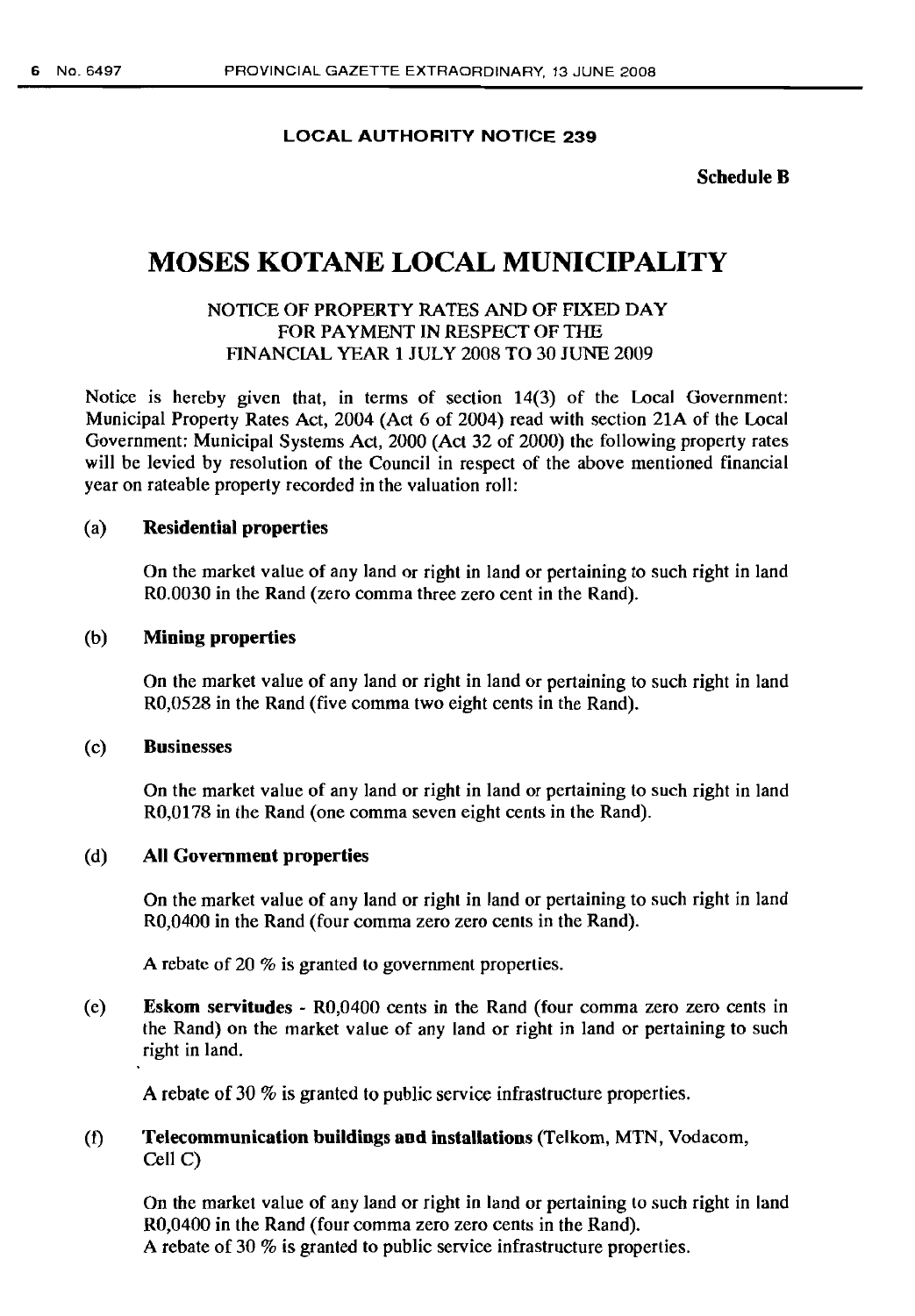#### LOCAL AUTHORITY NOTICE 239

Schedule B

# MOSES KOTANE LOCAL MUNICIPALITY

## NOTICE OF PROPERTY RATES AND OF FIXED DAY FOR PAYMENT IN RESPECT OF THE FINANCIAL YEAR 1 JULY 2008 TO 30 JUNE 2009

Notice is hereby given that, in terms of section 14(3) of the Local Government: Municipal Property Rates Act, 2004 (Act 6 of 2004) read with section 21A of the Local Government: Municipal Systems Act, 2000 (Act 32 of 2000) the following property rates will be levied by resolution of the Council in respect of the above mentioned financial year on rateable property recorded in the valuation roll:

#### (a) Residential properties

On the market value of any land or right in land or pertaining to such right in land RO.0030 in the Rand (zero comma three zero cent in the Rand).

#### (b) Mining properties

On the market value of any land or right in land or pertaining to such right in land RO,0528 in the Rand (five comma two eight cents in the Rand).

#### (c) Businesses

On the market value of any land or right in land or pertaining to such right in land RO,0178 in the Rand (one comma seven eight cents in the Rand).

#### (d) All Government properties

On the market value of any land or right in land or pertaining to such right in land RO,0400 in the Rand (four comma zero zero cents in the Rand).

A rebate of 20 % is granted to government properties.

(e) Eskom servitudes - RO,0400 cents in the Rand (four comma zero zero cents in the Rand) on the market value of any land or right in land or pertaining to such right in land.

A rebate of 30 % is granted to public service infrastructure properties.

## (t) Telecommunication buildings and installations (Telkom, MTN, Vodacom, Cell C)

On the market value of any land or right in land or pertaining to such right in land RO,0400 in the Rand (four comma zero zero cents in the Rand). A rebate of 30 % is granted to public service infrastructure properties.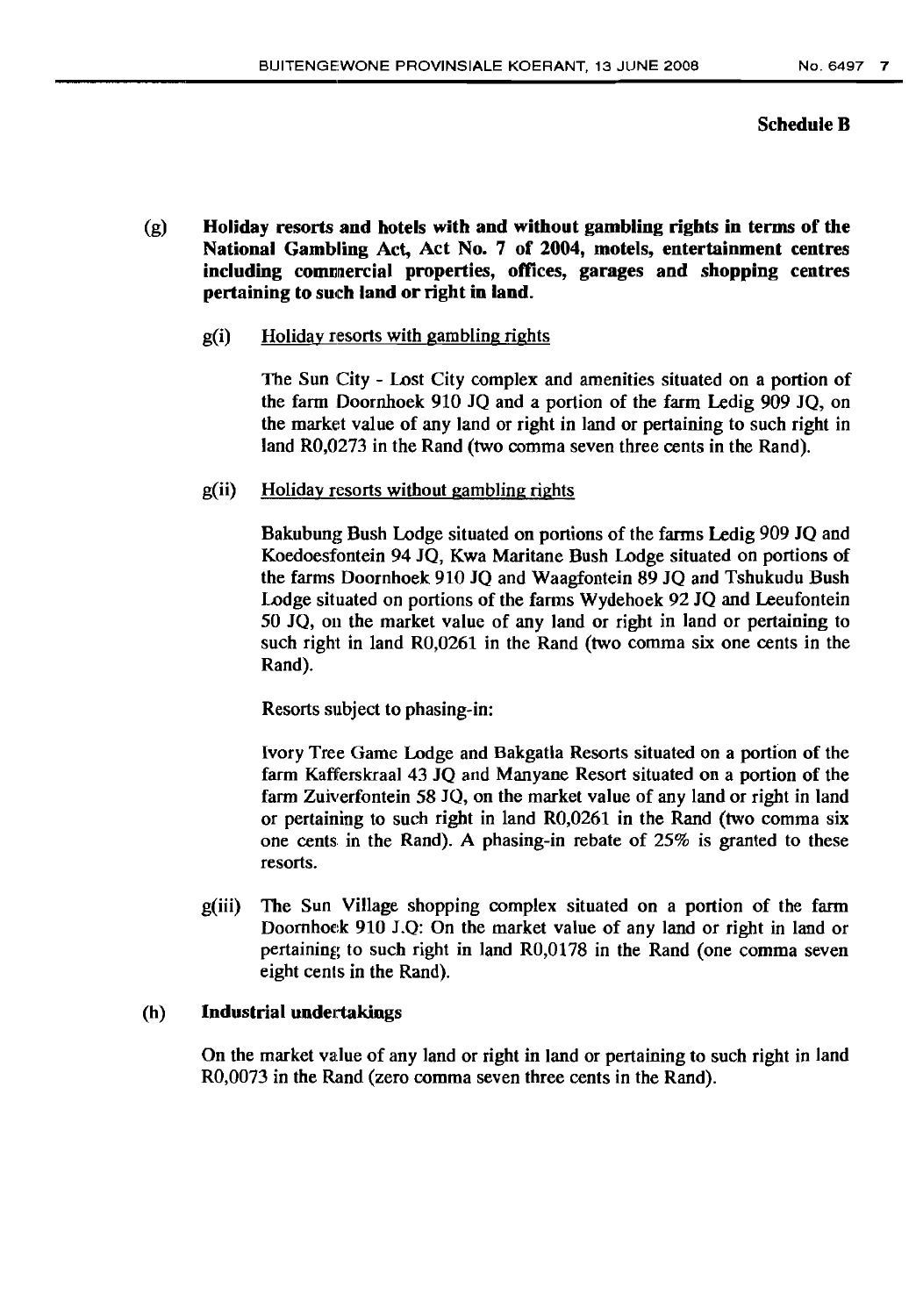## Schedule B

- (g) Holiday resorts and hotels with and without gambling rights in terms of the National Gambling Act, Act No. 7 of 2004, motels, entertainment centres including commercial properties, offices, garages and shopping centres pertaining to such land or right in land.
	- $g(i)$  Holiday resorts with gambling rights

The Sun City - Lost City complex and amenities situated on a portion of the farm Doornhoek 910 JQ and a portion of the farm Ledig 909 JO, on the market value of any land or right in land or pertaining to such right in land R0,0273 in the Rand (two comma seven three cents in the Rand).

g(ii) Holiday resorts without gambling rights

Bakubung Bush Lodge situated on portions of the farms Ledig 909 JO and Koedoesfontein 94 JO, Kwa Maritane Bush Lodge situated on portions of the farms Doornhoek 910 JO and Waagfontein 89 JO and Tshukudu Bush Lodge situated on portions of the farms Wydehoek 92 JO and Leeufontein 50 JQ, on the market value of any land or right in land or pertaining to such right in land RO,0261 in the Rand (two comma six one cents in the Rand).

Resorts subject to phasing-in:

Ivory Tree Game Lodge and Bakgatla Resorts situated on a portion of the farm Kafferskraal 43 JO and Manyane Resort situated on a portion of the farm Zuiverfontein 58 JQ, on the market value of any land or right in land or pertaining to such right in land RO,0261 in the Rand (two comma six one cents in the Rand). A phasing-in rebate of 25% is granted to these resorts.

g(iii) The Sun Village shopping complex situated on a portion of the farm Doornhoek 910 J.0: On the market value of any land or right in land or pertaining to such right in land RO,0178 in the Rand (one comma seven eight cents in the Rand).

#### (h) Industrial undertakings

On the market value of any land or right in land or pertaining to such right in land RO,0073 in the Rand (zero comma seven three cents in the Rand).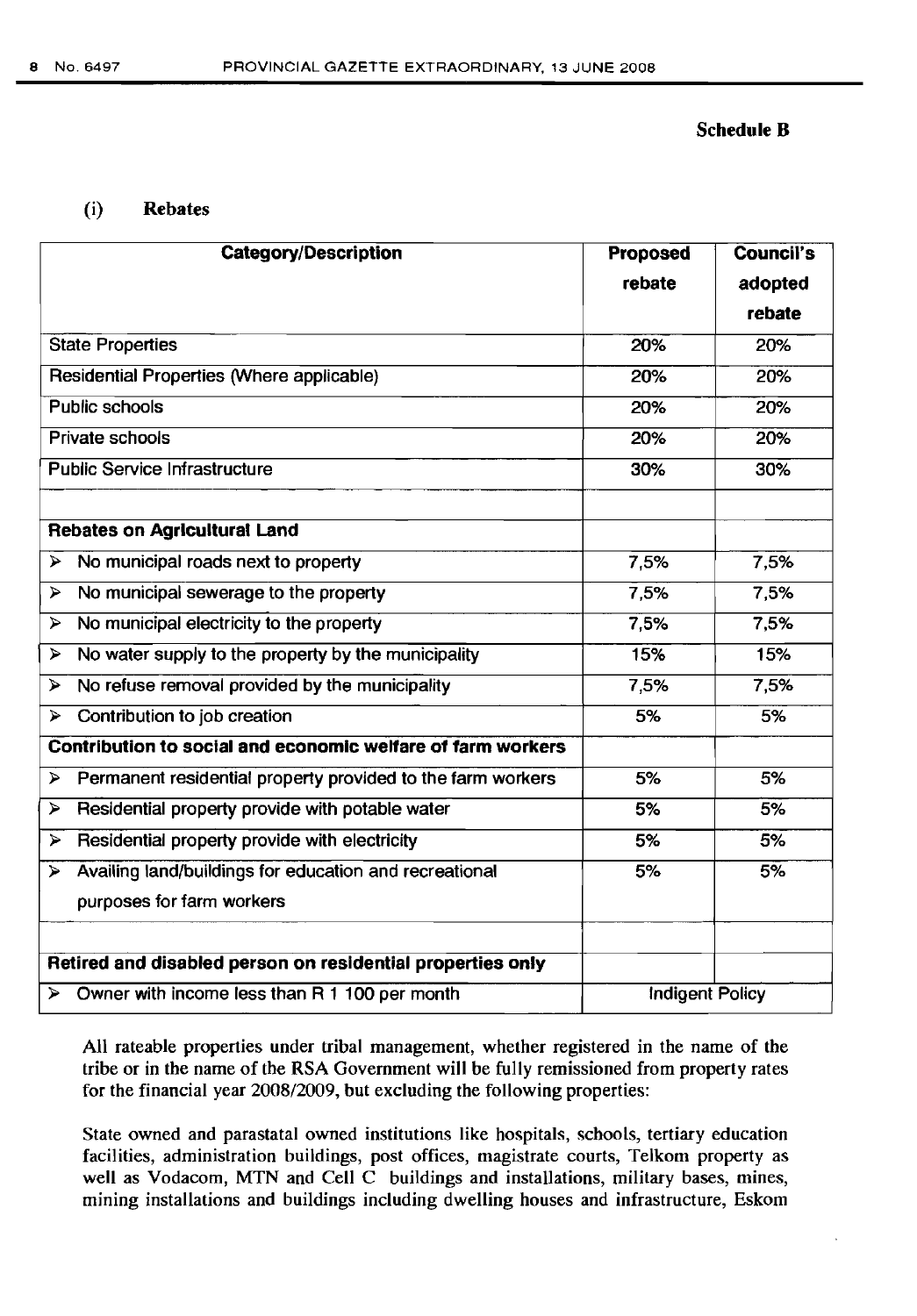#### Schedule B

#### (i) Rebates

|                       | <b>Category/Description</b>                                    | Proposed               | <b>Council's</b> |
|-----------------------|----------------------------------------------------------------|------------------------|------------------|
|                       |                                                                | rebate                 | adopted          |
|                       |                                                                |                        | rebate           |
|                       | <b>State Properties</b>                                        | 20%                    | 20%              |
|                       | <b>Residential Properties (Where applicable)</b>               | 20%                    | 20%              |
| <b>Public schools</b> |                                                                | 20%                    | 20%              |
| Private schools       |                                                                | 20%                    | 20%              |
|                       | <b>Public Service Infrastructure</b>                           | 30%                    | 30%              |
|                       |                                                                |                        |                  |
|                       | <b>Rebates on Agricultural Land</b>                            |                        |                  |
| ⋗                     | No municipal roads next to property                            | 7,5%                   | 7,5%             |
| $\blacktriangleright$ | No municipal sewerage to the property                          | 7,5%                   | 7,5%             |
| $\blacktriangleright$ | No municipal electricity to the property                       | 7,5%                   | 7,5%             |
| ⋗                     | No water supply to the property by the municipality            | 15%                    | 15%              |
| $\blacktriangleright$ | No refuse removal provided by the municipality                 | 7,5%                   | 7,5%             |
| $\blacktriangleright$ | Contribution to job creation                                   | 5%                     | 5%               |
|                       | Contribution to social and economic welfare of farm workers    |                        |                  |
| $\blacktriangleright$ | Permanent residential property provided to the farm workers    | 5%                     | 5%               |
| ⋗                     | Residential property provide with potable water                | 5%                     | 5%               |
| ⋗                     | Residential property provide with electricity                  | 5%                     | 5%               |
| ⋗                     | Availing land/buildings for education and recreational         | 5%                     | 5%               |
|                       | purposes for farm workers                                      |                        |                  |
|                       |                                                                |                        |                  |
|                       | Retired and disabled person on residential properties only     |                        |                  |
|                       | $\triangleright$ Owner with income less than R 1 100 per month | <b>Indigent Policy</b> |                  |

All rateable properties under tribal management, whether registered in the name of the tribe or in the name of the RSA Government will be fully remissioned from property rates for the financial year 2008/2009, but excluding the following properties:

State owned and parastatal owned institutions like hospitals, schools, tertiary education facilities, administration buildings, post offices, magistrate courts, Telkom property as well as Vodacom, MTN and Cell C buildings and installations, military bases, mines, mining installations and buildings including dwelling houses and infrastructure, Eskom